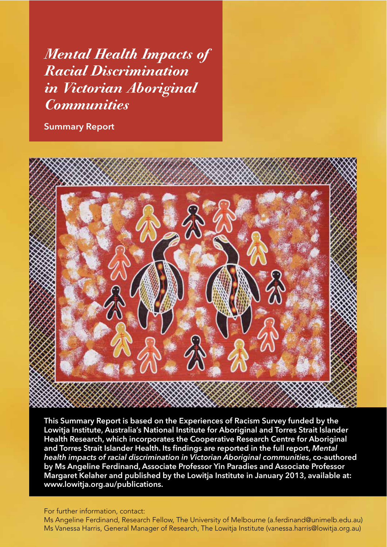*Mental Health Impacts of Racial Discrimination in Victorian Aboriginal Communities*

**Summary Report**



**This Summary Report is based on the Experiences of Racism Survey funded by the Lowitja Institute, Australia's National Institute for Aboriginal and Torres Strait Islander Health Research, which incorporates the Cooperative Research Centre for Aboriginal**  and Torres Strait Islander Health. Its findings are reported in the full report, Mental *health impacts of racial discrimination in Victorian Aboriginal communities***, co-authored by Ms Angeline Ferdinand, Associate Professor Yin Paradies and Associate Professor Margaret Kelaher and published by the Lowitja Institute in January 2013, available at: www.lowitja.org.au/publications.**

For further information, contact:

Ms Angeline Ferdinand, Research Fellow, The University of Melbourne (a.ferdinand@unimelb.edu.au) Ms Vanessa Harris, General Manager of Research, The Lowitja Institute (vanessa.harris@lowitja.org.au)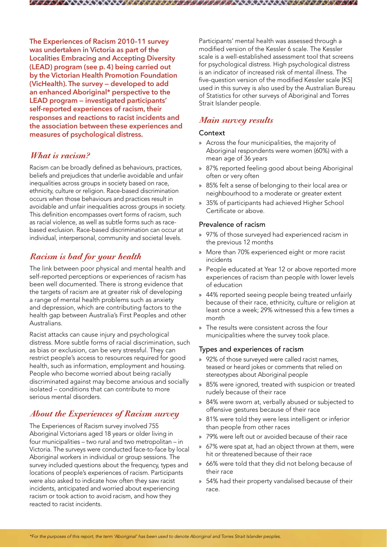**The Experiences of Racism 2010–11 survey was undertaken in Victoria as part of the Localities Embracing and Accepting Diversity (LEAD) program (see p. 4) being carried out by the Victorian Health Promotion Foundation (VicHealth). The survey — developed to add an enhanced Aboriginal\* perspective to the LEAD program — investigated participants' self-reported experiences of racism, their responses and reactions to racist incidents and the association between these experiences and measures of psychological distress.**

## *What is racism?*

Racism can be broadly defined as behaviours, practices, beliefs and prejudices that underlie avoidable and unfair inequalities across groups in society based on race, ethnicity, culture or religion. Race-based discrimination occurs when those behaviours and practices result in avoidable and unfair inequalities across groups in society. This definition encompasses overt forms of racism, such as racial violence, as well as subtle forms such as racebased exclusion. Race-based discrimination can occur at individual, interpersonal, community and societal levels.

# *Racism is bad for your health*

The link between poor physical and mental health and self-reported perceptions or experiences of racism has been well documented. There is strong evidence that the targets of racism are at greater risk of developing a range of mental health problems such as anxiety and depression, which are contributing factors to the health gap between Australia's First Peoples and other Australians.

Racist attacks can cause injury and psychological distress. More subtle forms of racial discrimination, such as bias or exclusion, can be very stressful. They can restrict people's access to resources required for good health, such as information, employment and housing. People who become worried about being racially discriminated against may become anxious and socially isolated – conditions that can contribute to more serious mental disorders.

## *About the Experiences of Racism survey*

The Experiences of Racism survey involved 755 Aboriginal Victorians aged 18 years or older living in four municipalities – two rural and two metropolitan – in Victoria. The surveys were conducted face-to-face by local Aboriginal workers in individual or group sessions. The survey included questions about the frequency, types and locations of people's experiences of racism. Participants were also asked to indicate how often they saw racist incidents, anticipated and worried about experiencing racism or took action to avoid racism, and how they reacted to racist incidents.

Participants' mental health was assessed through a modified version of the Kessler 6 scale. The Kessler scale is a well-established assessment tool that screens for psychological distress. High psychological distress is an indicator of increased risk of mental illness. The five-question version of the modified Kessler scale [K5] used in this survey is also used by the Australian Bureau of Statistics for other surveys of Aboriginal and Torres Strait Islander people.

# *Main survey results*

#### Context

- » Across the four municipalities, the majority of Aboriginal respondents were women (60%) with a mean age of 36 years
- » 87% reported feeling good about being Aboriginal often or very often
- » 85% felt a sense of belonging to their local area or neighbourhood to a moderate or greater extent
- » 35% of participants had achieved Higher School Certificate or above.

#### Prevalence of racism

- » 97% of those surveyed had experienced racism in the previous 12 months
- » More than 70% experienced eight or more racist incidents
- » People educated at Year 12 or above reported more experiences of racism than people with lower levels of education
- » 44% reported seeing people being treated unfairly because of their race, ethnicity, culture or religion at least once a week; 29% witnessed this a few times a month
- » The results were consistent across the four municipalities where the survey took place.

### Types and experiences of racism

- » 92% of those surveyed were called racist names, teased or heard jokes or comments that relied on stereotypes about Aboriginal people
- » 85% were ignored, treated with suspicion or treated rudely because of their race
- » 84% were sworn at, verbally abused or subjected to offensive gestures because of their race
- » 81% were told they were less intelligent or inferior than people from other races
- » 79% were left out or avoided because of their race
- » 67% were spat at, had an object thrown at them, were hit or threatened because of their race
- » 66% were told that they did not belong because of their race
- » 54% had their property vandalised because of their race.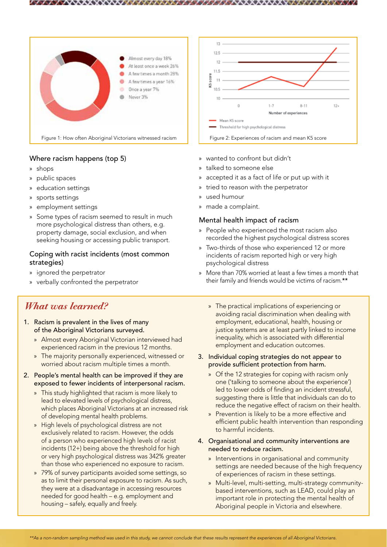

# Where racism happens (top 5)

- » shops
- » public spaces

. . . . .

- » education settings
- » sports settings
- » employment settings
- » Some types of racism seemed to result in much more psychological distress than others, e.g. property damage, social exclusion, and when seeking housing or accessing public transport.

### Coping with racist incidents (most common strategies)

- » ignored the perpetrator
- » verbally confronted the perpetrator

# *What was learned?*

- 1. Racism is prevalent in the lives of many of the Aboriginal Victorians surveyed.
	- » Almost every Aboriginal Victorian interviewed had experienced racism in the previous 12 months.
	- » The majority personally experienced, witnessed or worried about racism multiple times a month.
- 2. People's mental health can be improved if they are exposed to fewer incidents of interpersonal racism.
	- » This study highlighted that racism is more likely to lead to elevated levels of psychological distress, which places Aboriginal Victorians at an increased risk of developing mental health problems.
	- » High levels of psychological distress are not exclusively related to racism. However, the odds of a person who experienced high levels of racist incidents (12+) being above the threshold for high or very high psychological distress was 342% greater than those who experienced no exposure to racism.
	- » 79% of survey participants avoided some settings, so as to limit their personal exposure to racism. As such, they were at a disadvantage in accessing resources needed for good health – e.g. employment and housing – safely, equally and freely.



AXX VIII AXX TIX AXX TIX

- » wanted to confront but didn't
- » talked to someone else
- » accepted it as a fact of life or put up with it
- tried to reason with the perpetrator
- » used humour
- » made a complaint.

### Mental health impact of racism

- » People who experienced the most racism also recorded the highest psychological distress scores
- » Two-thirds of those who experienced 12 or more incidents of racism reported high or very high psychological distress
- » More than 70% worried at least a few times a month that their family and friends would be victims of racism.\*\*
	- » The practical implications of experiencing or avoiding racial discrimination when dealing with employment, educational, health, housing or justice systems are at least partly linked to income inequality, which is associated with differential employment and education outcomes.
- 3. Individual coping strategies do not appear to provide sufficient protection from harm.
	- » Of the 12 strategies for coping with racism only one ('talking to someone about the experience') led to lower odds of finding an incident stressful, suggesting there is little that individuals can do to reduce the negative effect of racism on their health.
	- » Prevention is likely to be a more effective and efficient public health intervention than responding to harmful incidents.
- 4. Organisational and community interventions are needed to reduce racism.
	- » Interventions in organisational and community settings are needed because of the high frequency of experiences of racism in these settings.
	- » Multi-level, multi-setting, multi-strategy communitybased interventions, such as LEAD, could play an important role in protecting the mental health of Aboriginal people in Victoria and elsewhere.